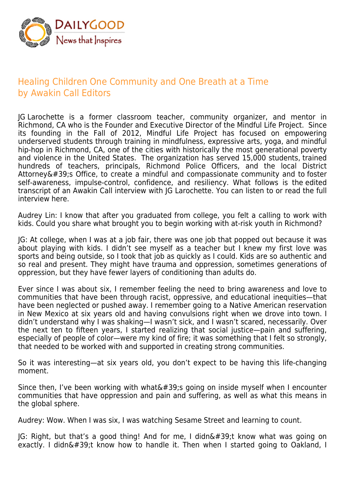

## Healing Children One Community and One Breath at a Time by Awakin Call Editors

JG Larochette is a former classroom teacher, community organizer, and mentor in Richmond, CA who is the Founder and Executive Director of the Mindful Life Project. Since its founding in the Fall of 2012, Mindful Life Project has focused on empowering underserved students through training in mindfulness, expressive arts, yoga, and mindful hip-hop in Richmond, CA, one of the cities with historically the most generational poverty and violence in the United States. The organization has served 15,000 students, trained hundreds of teachers, principals, Richmond Police Officers, and the local District Attorney $'$ ; Office, to create a mindful and compassionate community and to foster self-awareness, impulse-control, confidence, and resiliency. What follows is the edited transcript of an Awakin Call interview with JG Larochette. You can listen to or read the full interview here.

Audrey Lin: I know that after you graduated from college, you felt a calling to work with kids. Could you share what brought you to begin working with at-risk youth in Richmond?

JG: At college, when I was at a job fair, there was one job that popped out because it was about playing with kids. I didn't see myself as a teacher but I knew my first love was sports and being outside, so I took that job as quickly as I could. Kids are so authentic and so real and present. They might have trauma and oppression, sometimes generations of oppression, but they have fewer layers of conditioning than adults do.

Ever since I was about six, I remember feeling the need to bring awareness and love to communities that have been through racist, oppressive, and educational inequities—that have been neglected or pushed away. I remember going to a Native American reservation in New Mexico at six years old and having convulsions right when we drove into town. I didn't understand why I was shaking—I wasn't sick, and I wasn't scared, necessarily. Over the next ten to fifteen years, I started realizing that social justice—pain and suffering, especially of people of color—were my kind of fire; it was something that I felt so strongly, that needed to be worked with and supported in creating strong communities.

So it was interesting—at six years old, you don't expect to be having this life-changing moment.

Since then, I've been working with what $\&\#39$ ; going on inside myself when I encounter communities that have oppression and pain and suffering, as well as what this means in the global sphere.

Audrey: Wow. When I was six, I was watching Sesame Street and learning to count.

 $IG:$  Right, but that's a good thing! And for me, I didn $\&\#39$ ; know what was going on exactly. I didn't know how to handle it. Then when I started going to Oakland, I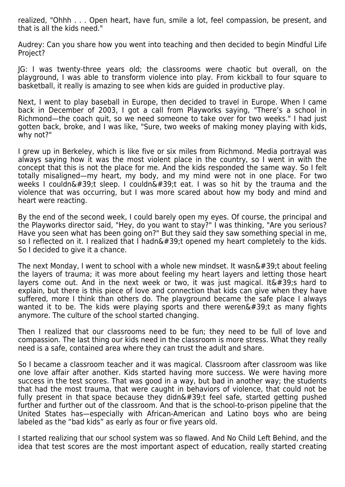realized, "Ohhh . . . Open heart, have fun, smile a lot, feel compassion, be present, and that is all the kids need."

Audrey: Can you share how you went into teaching and then decided to begin Mindful Life Project?

JG: I was twenty-three years old; the classrooms were chaotic but overall, on the playground, I was able to transform violence into play. From kickball to four square to basketball, it really is amazing to see when kids are guided in productive play.

Next, I went to play baseball in Europe, then decided to travel in Europe. When I came back in December of 2003, I got a call from Playworks saying, "There's a school in Richmond—the coach quit, so we need someone to take over for two weeks." I had just gotten back, broke, and I was like, "Sure, two weeks of making money playing with kids, why not?"

I grew up in Berkeley, which is like five or six miles from Richmond. Media portrayal was always saying how it was the most violent place in the country, so I went in with the concept that this is not the place for me. And the kids responded the same way. So I felt totally misaligned—my heart, my body, and my mind were not in one place. For two weeks I couldn't sleep. I couldn't eat. I was so hit by the trauma and the violence that was occurring, but I was more scared about how my body and mind and heart were reacting.

By the end of the second week, I could barely open my eyes. Of course, the principal and the Playworks director said, "Hey, do you want to stay?" I was thinking, "Are you serious? Have you seen what has been going on?" But they said they saw something special in me, so I reflected on it. I realized that I hadn $\&\#39$ ; opened my heart completely to the kids. So I decided to give it a chance.

The next Monday, I went to school with a whole new mindset. It wasn $\&\#39$ ;t about feeling the layers of trauma; it was more about feeling my heart layers and letting those heart layers come out. And in the next week or two, it was just magical. It  $\&\#39$ ; hard to explain, but there is this piece of love and connection that kids can give when they have suffered, more I think than others do. The playground became the safe place I always wanted it to be. The kids were playing sports and there weren $\&\#39$ ; t as many fights anymore. The culture of the school started changing.

Then I realized that our classrooms need to be fun; they need to be full of love and compassion. The last thing our kids need in the classroom is more stress. What they really need is a safe, contained area where they can trust the adult and share.

So I became a classroom teacher and it was magical. Classroom after classroom was like one love affair after another. Kids started having more success. We were having more success in the test scores. That was good in a way, but bad in another way; the students that had the most trauma, that were caught in behaviors of violence, that could not be fully present in that space because they didn $\&\#39$ ; feel safe, started getting pushed further and further out of the classroom. And that is the school-to-prison pipeline that the United States has—especially with African-American and Latino boys who are being labeled as the "bad kids" as early as four or five years old.

I started realizing that our school system was so flawed. And No Child Left Behind, and the idea that test scores are the most important aspect of education, really started creating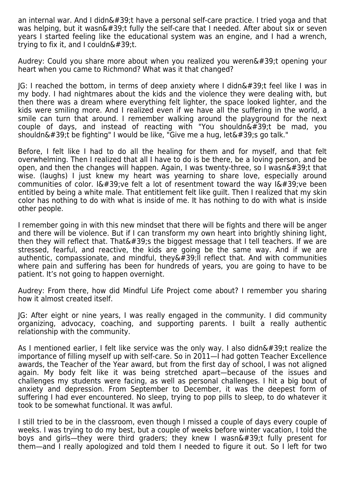an internal war. And I didn $\&\#39$ ;t have a personal self-care practice. I tried yoga and that was helping, but it wasn $\&\#39$ ;t fully the self-care that I needed. After about six or seven years I started feeling like the educational system was an engine, and I had a wrench, trying to fix it, and I couldn $&\#39$ ;t.

Audrey: Could you share more about when you realized you weren & #39;t opening your heart when you came to Richmond? What was it that changed?

 $|G: I$  reached the bottom, in terms of deep anxiety where I didn $\&\#39$ ; feel like I was in my body. I had nightmares about the kids and the violence they were dealing with, but then there was a dream where everything felt lighter, the space looked lighter, and the kids were smiling more. And I realized even if we have all the suffering in the world, a smile can turn that around. I remember walking around the playground for the next couple of days, and instead of reacting with "You shouldn $\&\#39$ ;t be mad, you shouldn't be fighting" I would be like, "Give me a hug, let's go talk."

Before, I felt like I had to do all the healing for them and for myself, and that felt overwhelming. Then I realized that all I have to do is be there, be a loving person, and be open, and then the changes will happen. Again, I was twenty-three, so I wasn $\&\#39$ ;t that wise. (laughs) I just knew my heart was yearning to share love, especially around communities of color.  $I\&\#39$ ; ve felt a lot of resentment toward the way  $I\&\#39$ ; ve been entitled by being a white male. That entitlement felt like guilt. Then I realized that my skin color has nothing to do with what is inside of me. It has nothing to do with what is inside other people.

I remember going in with this new mindset that there will be fights and there will be anger and there will be violence. But if I can transform my own heart into brightly shining light, then they will reflect that. That  $439$ ; the biggest message that I tell teachers. If we are stressed, fearful, and reactive, the kids are going be the same way. And if we are authentic, compassionate, and mindful, they $\&\#39$ ; I reflect that. And with communities where pain and suffering has been for hundreds of years, you are going to have to be patient. It's not going to happen overnight.

Audrey: From there, how did Mindful Life Project come about? I remember you sharing how it almost created itself.

JG: After eight or nine years, I was really engaged in the community. I did community organizing, advocacy, coaching, and supporting parents. I built a really authentic relationship with the community.

As I mentioned earlier, I felt like service was the only way. I also didn $\&\#39$ ; trealize the importance of filling myself up with self-care. So in 2011—I had gotten Teacher Excellence awards, the Teacher of the Year award, but from the first day of school, I was not aligned again. My body felt like it was being stretched apart—because of the issues and challenges my students were facing, as well as personal challenges. I hit a big bout of anxiety and depression. From September to December, it was the deepest form of suffering I had ever encountered. No sleep, trying to pop pills to sleep, to do whatever it took to be somewhat functional. It was awful.

I still tried to be in the classroom, even though I missed a couple of days every couple of weeks. I was trying to do my best, but a couple of weeks before winter vacation, I told the boys and girls—they were third graders; they knew I wasn't fully present for them—and I really apologized and told them I needed to figure it out. So I left for two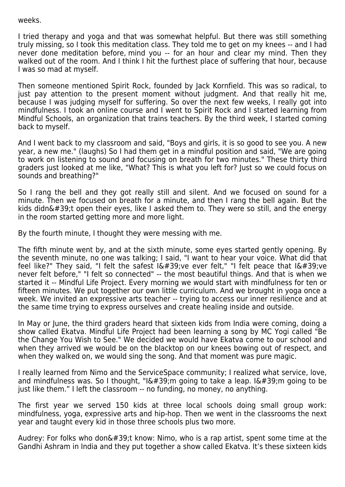## weeks.

I tried therapy and yoga and that was somewhat helpful. But there was still something truly missing, so I took this meditation class. They told me to get on my knees -- and I had never done meditation before, mind you -- for an hour and clear my mind. Then they walked out of the room. And I think I hit the furthest place of suffering that hour, because I was so mad at myself.

Then someone mentioned Spirit Rock, founded by Jack Kornfield. This was so radical, to just pay attention to the present moment without judgment. And that really hit me, because I was judging myself for suffering. So over the next few weeks, I really got into mindfulness. I took an online course and I went to Spirit Rock and I started learning from Mindful Schools, an organization that trains teachers. By the third week, I started coming back to myself.

And I went back to my classroom and said, "Boys and girls, it is so good to see you. A new year, a new me." (laughs) So I had them get in a mindful position and said, "We are going to work on listening to sound and focusing on breath for two minutes." These thirty third graders just looked at me like, "What? This is what you left for? Just so we could focus on sounds and breathing?"

So I rang the bell and they got really still and silent. And we focused on sound for a minute. Then we focused on breath for a minute, and then I rang the bell again. But the kids didn $'$ ;t open their eyes, like I asked them to. They were so still, and the energy in the room started getting more and more light.

By the fourth minute, I thought they were messing with me.

The fifth minute went by, and at the sixth minute, some eyes started gently opening. By the seventh minute, no one was talking; I said, "I want to hear your voice. What did that feel like?" They said, "I felt the safest  $I\'$ ; ve ever felt," "I felt peace that  $I\'$ ; ve never felt before," "I felt so connected" -- the most beautiful things. And that is when we started it -- Mindful Life Project. Every morning we would start with mindfulness for ten or fifteen minutes. We put together our own little curriculum. And we brought in yoga once a week. We invited an expressive arts teacher -- trying to access our inner resilience and at the same time trying to express ourselves and create healing inside and outside.

In May or June, the third graders heard that sixteen kids from India were coming, doing a show called Ekatva. Mindful Life Project had been learning a song by MC Yogi called "Be the Change You Wish to See." We decided we would have Ekatva come to our school and when they arrived we would be on the blacktop on our knees bowing out of respect, and when they walked on, we would sing the song. And that moment was pure magic.

I really learned from Nimo and the ServiceSpace community; I realized what service, love, and mindfulness was. So I thought, "I'm going to take a leap. I'm going to be just like them." I left the classroom -- no funding, no money, no anything.

The first year we served 150 kids at three local schools doing small group work: mindfulness, yoga, expressive arts and hip-hop. Then we went in the classrooms the next year and taught every kid in those three schools plus two more.

Audrey: For folks who don $\&\#39$ ;t know: Nimo, who is a rap artist, spent some time at the Gandhi Ashram in India and they put together a show called Ekatva. It's these sixteen kids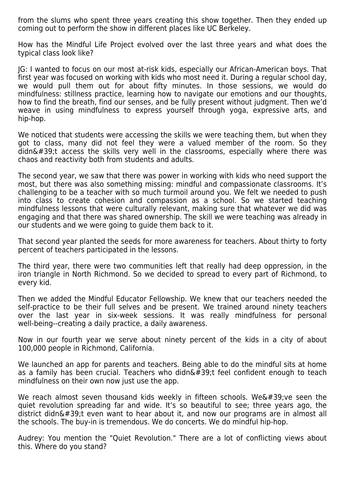from the slums who spent three years creating this show together. Then they ended up coming out to perform the show in different places like UC Berkeley.

How has the Mindful Life Project evolved over the last three years and what does the typical class look like?

JG: I wanted to focus on our most at-risk kids, especially our African-American boys. That first year was focused on working with kids who most need it. During a regular school day, we would pull them out for about fifty minutes. In those sessions, we would do mindfulness: stillness practice, learning how to navigate our emotions and our thoughts, how to find the breath, find our senses, and be fully present without judgment. Then we'd weave in using mindfulness to express yourself through yoga, expressive arts, and hip-hop.

We noticed that students were accessing the skills we were teaching them, but when they got to class, many did not feel they were a valued member of the room. So they didn't access the skills very well in the classrooms, especially where there was chaos and reactivity both from students and adults.

The second year, we saw that there was power in working with kids who need support the most, but there was also something missing: mindful and compassionate classrooms. It's challenging to be a teacher with so much turmoil around you. We felt we needed to push into class to create cohesion and compassion as a school. So we started teaching mindfulness lessons that were culturally relevant, making sure that whatever we did was engaging and that there was shared ownership. The skill we were teaching was already in our students and we were going to guide them back to it.

That second year planted the seeds for more awareness for teachers. About thirty to forty percent of teachers participated in the lessons.

The third year, there were two communities left that really had deep oppression, in the iron triangle in North Richmond. So we decided to spread to every part of Richmond, to every kid.

Then we added the Mindful Educator Fellowship. We knew that our teachers needed the self-practice to be their full selves and be present. We trained around ninety teachers over the last year in six-week sessions. It was really mindfulness for personal well-being--creating a daily practice, a daily awareness.

Now in our fourth year we serve about ninety percent of the kids in a city of about 100,000 people in Richmond, California.

We launched an app for parents and teachers. Being able to do the mindful sits at home as a family has been crucial. Teachers who didn $\&\#39$ ; feel confident enough to teach mindfulness on their own now just use the app.

We reach almost seven thousand kids weekly in fifteen schools. We' ve seen the quiet revolution spreading far and wide. It's so beautiful to see; three years ago, the district didn $\&\#39$ ;t even want to hear about it, and now our programs are in almost all the schools. The buy-in is tremendous. We do concerts. We do mindful hip-hop.

Audrey: You mention the "Quiet Revolution." There are a lot of conflicting views about this. Where do you stand?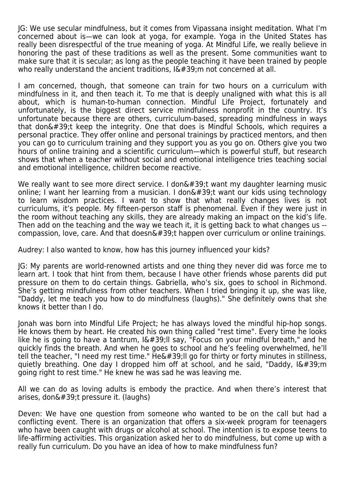JG: We use secular mindfulness, but it comes from Vipassana insight meditation. What I'm concerned about is—we can look at yoga, for example. Yoga in the United States has really been disrespectful of the true meaning of yoga. At Mindful Life, we really believe in honoring the past of these traditions as well as the present. Some communities want to make sure that it is secular; as long as the people teaching it have been trained by people who really understand the ancient traditions,  $I\'$ ; m not concerned at all.

I am concerned, though, that someone can train for two hours on a curriculum with mindfulness in it, and then teach it. To me that is deeply unaligned with what this is all about, which is human-to-human connection. Mindful Life Project, fortunately and unfortunately, is the biggest direct service mindfulness nonprofit in the country. It's unfortunate because there are others, curriculum-based, spreading mindfulness in ways that don $'$ ; keep the integrity. One that does is Mindful Schools, which requires a personal practice. They offer online and personal trainings by practiced mentors, and then you can go to curriculum training and they support you as you go on. Others give you two hours of online training and a scientific curriculum—which is powerful stuff, but research shows that when a teacher without social and emotional intelligence tries teaching social and emotional intelligence, children become reactive.

We really want to see more direct service. I don't want my daughter learning music online; I want her learning from a musician. I don $\&\#39$ ; t want our kids using technology to learn wisdom practices. I want to show that what really changes lives is not curriculums, it's people. My fifteen-person staff is phenomenal. Even if they were just in the room without teaching any skills, they are already making an impact on the kid's life. Then add on the teaching and the way we teach it, it is getting back to what changes us - compassion, love, care. And that doesn $\&\#39$ ; happen over curriculum or online trainings.

Audrey: I also wanted to know, how has this journey influenced your kids?

JG: My parents are world-renowned artists and one thing they never did was force me to learn art. I took that hint from them, because I have other friends whose parents did put pressure on them to do certain things. Gabriella, who's six, goes to school in Richmond. She's getting mindfulness from other teachers. When I tried bringing it up, she was like, "Daddy, let me teach you how to do mindfulness (laughs)." She definitely owns that she knows it better than I do.

Jonah was born into Mindful Life Project; he has always loved the mindful hip-hop songs. He knows them by heart. He created his own thing called "rest time". Every time he looks like he is going to have a tantrum,  $16#39$ ; II say, "Focus on your mindful breath," and he quickly finds the breath. And when he goes to school and he's feeling overwhelmed, he'll tell the teacher, "I need my rest time." He'II go for thirty or forty minutes in stillness, quietly breathing. One day I dropped him off at school, and he said, "Daddy, I'm going right to rest time." He knew he was sad he was leaving me.

All we can do as loving adults is embody the practice. And when there's interest that arises, don $'$ ; pressure it. (laughs)

Deven: We have one question from someone who wanted to be on the call but had a conflicting event. There is an organization that offers a six-week program for teenagers who have been caught with drugs or alcohol at school. The intention is to expose teens to life-affirming activities. This organization asked her to do mindfulness, but come up with a really fun curriculum. Do you have an idea of how to make mindfulness fun?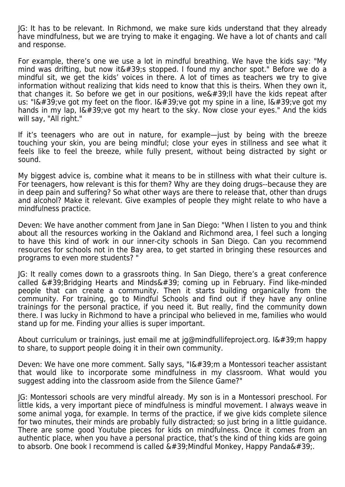JG: It has to be relevant. In Richmond, we make sure kids understand that they already have mindfulness, but we are trying to make it engaging. We have a lot of chants and call and response.

For example, there's one we use a lot in mindful breathing. We have the kids say: "My mind was drifting, but now it  $\&\#39$ ; stopped. I found my anchor spot." Before we do a mindful sit, we get the kids' voices in there. A lot of times as teachers we try to give information without realizing that kids need to know that this is theirs. When they own it, that changes it. So before we get in our positions, we'II have the kids repeat after us: "I' ve got my feet on the floor. I' ve got my spine in a line, I' ve got my hands in my lap,  $I\&\#39$ ; ve got my heart to the sky. Now close your eyes." And the kids will say, "All right."

If it's teenagers who are out in nature, for example—just by being with the breeze touching your skin, you are being mindful; close your eyes in stillness and see what it feels like to feel the breeze, while fully present, without being distracted by sight or sound.

My biggest advice is, combine what it means to be in stillness with what their culture is. For teenagers, how relevant is this for them? Why are they doing drugs--because they are in deep pain and suffering? So what other ways are there to release that, other than drugs and alcohol? Make it relevant. Give examples of people they might relate to who have a mindfulness practice.

Deven: We have another comment from Jane in San Diego: "When I listen to you and think about all the resources working in the Oakland and Richmond area, I feel such a longing to have this kind of work in our inner-city schools in San Diego. Can you recommend resources for schools not in the Bay area, to get started in bringing these resources and programs to even more students? "

JG: It really comes down to a grassroots thing. In San Diego, there's a great conference called  $\&\#39$ ; Bridging Hearts and Minds $\&\#39$ ; coming up in February. Find like-minded people that can create a community. Then it starts building organically from the community. For training, go to Mindful Schools and find out if they have any online trainings for the personal practice, if you need it. But really, find the community down there. I was lucky in Richmond to have a principal who believed in me, families who would stand up for me. Finding your allies is super important.

About curriculum or trainings, just email me at jg@mindfullifeproject.org. I'm happy to share, to support people doing it in their own community.

Deven: We have one more comment. Sally says, "I'm a Montessori teacher assistant that would like to incorporate some mindfulness in my classroom. What would you suggest adding into the classroom aside from the Silence Game?"

JG: Montessori schools are very mindful already. My son is in a Montessori preschool. For little kids, a very important piece of mindfulness is mindful movement. I always weave in some animal yoga, for example. In terms of the practice, if we give kids complete silence for two minutes, their minds are probably fully distracted; so just bring in a little guidance. There are some good Youtube pieces for kids on mindfulness. Once it comes from an authentic place, when you have a personal practice, that's the kind of thing kids are going to absorb. One book I recommend is called  $\&\#39$ ; Mindful Monkey, Happy Panda $\&\#39$ ;